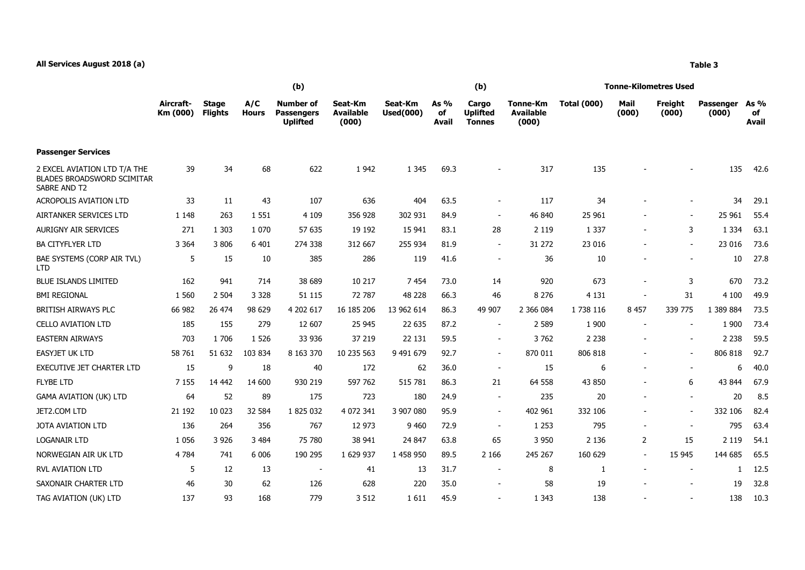## **All Services August 2018 (a) Table 3**

|                                                                                   | (b)                   |                                |                     |                                                          |                                      |                             |                       | (b)                                       |                                              | <b>Tonne-Kilometres Used</b> |                          |                          |                      |                            |  |
|-----------------------------------------------------------------------------------|-----------------------|--------------------------------|---------------------|----------------------------------------------------------|--------------------------------------|-----------------------------|-----------------------|-------------------------------------------|----------------------------------------------|------------------------------|--------------------------|--------------------------|----------------------|----------------------------|--|
|                                                                                   | Aircraft-<br>Km (000) | <b>Stage</b><br><b>Flights</b> | A/C<br><b>Hours</b> | <b>Number of</b><br><b>Passengers</b><br><b>Uplifted</b> | Seat-Km<br><b>Available</b><br>(000) | Seat-Km<br><b>Used(000)</b> | As $%$<br>of<br>Avail | Cargo<br><b>Uplifted</b><br><b>Tonnes</b> | <b>Tonne-Km</b><br><b>Available</b><br>(000) | <b>Total (000)</b>           | Mail<br>(000)            | Freight<br>(000)         | Passenger<br>(000)   | As %<br>of<br><b>Avail</b> |  |
| <b>Passenger Services</b>                                                         |                       |                                |                     |                                                          |                                      |                             |                       |                                           |                                              |                              |                          |                          |                      |                            |  |
| 2 EXCEL AVIATION LTD T/A THE<br><b>BLADES BROADSWORD SCIMITAR</b><br>SABRE AND T2 | 39                    | 34                             | 68                  | 622                                                      | 1 9 4 2                              | 1 3 4 5                     | 69.3                  |                                           | 317                                          | 135                          |                          |                          | 135                  | 42.6                       |  |
| <b>ACROPOLIS AVIATION LTD</b>                                                     | 33                    | 11                             | 43                  | 107                                                      | 636                                  | 404                         | 63.5                  | $\overline{\phantom{a}}$                  | 117                                          | 34                           |                          | $\overline{\phantom{0}}$ | 34                   | 29.1                       |  |
| AIRTANKER SERVICES LTD                                                            | 1 1 4 8               | 263                            | 1 5 5 1             | 4 1 0 9                                                  | 356 928                              | 302 931                     | 84.9                  | $\overline{\phantom{a}}$                  | 46 840                                       | 25 961                       |                          | $\sim$                   | 25 961               | 55.4                       |  |
| <b>AURIGNY AIR SERVICES</b>                                                       | 271                   | 1 3 0 3                        | 1 0 7 0             | 57 635                                                   | 19 19 2                              | 15 941                      | 83.1                  | 28                                        | 2 1 1 9                                      | 1 3 3 7                      |                          | 3                        | 1 3 3 4              | 63.1                       |  |
| <b>BA CITYFLYER LTD</b>                                                           | 3 3 6 4               | 3 8 0 6                        | 6 4 0 1             | 274 338                                                  | 312 667                              | 255 934                     | 81.9                  | $\sim$                                    | 31 272                                       | 23 016                       |                          | $\sim$                   | 23 016               | 73.6                       |  |
| BAE SYSTEMS (CORP AIR TVL)<br><b>LTD</b>                                          | 5                     | 15                             | 10                  | 385                                                      | 286                                  | 119                         | 41.6                  | $\overline{\phantom{a}}$                  | 36                                           | 10                           |                          |                          | 10                   | 27.8                       |  |
| <b>BLUE ISLANDS LIMITED</b>                                                       | 162                   | 941                            | 714                 | 38 689                                                   | 10 217                               | 7454                        | 73.0                  | 14                                        | 920                                          | 673                          | $\overline{\phantom{a}}$ | 3                        | 670                  | 73.2                       |  |
| <b>BMI REGIONAL</b>                                                               | 1 5 6 0               | 2 5 0 4                        | 3 3 2 8             | 51 115                                                   | 72 787                               | 48 228                      | 66.3                  | 46                                        | 8 2 7 6                                      | 4 1 3 1                      |                          | 31                       | 4 100                | 49.9                       |  |
| BRITISH AIRWAYS PLC                                                               | 66 982                | 26 474                         | 98 629              | 4 202 617                                                | 16 185 206                           | 13 962 614                  | 86.3                  | 49 907                                    | 2 366 084                                    | 1738 116                     | 8 4 5 7                  | 339 775                  | 1 389 884            | 73.5                       |  |
| <b>CELLO AVIATION LTD</b>                                                         | 185                   | 155                            | 279                 | 12 607                                                   | 25 945                               | 22 635                      | 87.2                  |                                           | 2 5 8 9                                      | 1 900                        |                          |                          | 1 900                | 73.4                       |  |
| <b>EASTERN AIRWAYS</b>                                                            | 703                   | 1706                           | 1 5 2 6             | 33 936                                                   | 37 219                               | 22 131                      | 59.5                  | $\overline{\phantom{a}}$                  | 3762                                         | 2 2 3 8                      |                          | $\overline{\phantom{0}}$ | 2 2 3 8              | 59.5                       |  |
| <b>EASYJET UK LTD</b>                                                             | 58 761                | 51 632                         | 103 834             | 8 163 370                                                | 10 235 563                           | 9 491 679                   | 92.7                  | $\sim$                                    | 870 011                                      | 806 818                      |                          | $\sim$                   | 806 818              | 92.7                       |  |
| <b>EXECUTIVE JET CHARTER LTD</b>                                                  | 15                    | 9                              | 18                  | 40                                                       | 172                                  | 62                          | 36.0                  |                                           | 15                                           | 6                            |                          |                          | 6                    | 40.0                       |  |
| $-0.52 - 0.72$                                                                    | $  -$                 | .                              | $\cdots$            | $\cdots$                                                 | $- - - - - -$                        | $\cdots$                    | $- - -$               |                                           | $- - - - -$                                  | $\sim$ $\sim$ $\sim$         |                          |                          | $\sim$ $\sim$ $\sim$ | $- - -$                    |  |

EASTERN AIRWAYS 703 1 706 1 526 33 936 37 219 22 131 59.5 - 3 762 2 238 - - 2 238 59.5 EASYJET UK LTD 58 761 51 632 103 834 8 163 370 10 235 563 9 491 679 92.7 - 870 011 806 818 - - 806 818 92.7 EXECUTIVE JET CHARTER LTD 15 9 18 40 172 62 36.0 - 15 6 - - 6 40.0 FLYBE LTD 7 155 14 442 14 600 930 219 597 762 515 781 86.3 21 64 558 43 850 - 6 43 844 67.9 GAMA AVIATION (UK) LTD 64 52 89 175 723 180 24.9 235 20 - 20 8.5 JET2.COM LTD 21 192 10 023 32 584 1 825 032 4 072 341 3 907 080 95.9 - 402 961 332 106 - - 332 106 82.4 JOTA AVIATION LTD 136 264 356 767 12 973 9 460 72.9 - 1 253 795 - - 795 63.4 LOGANAIR LTD 1 056 3 926 3 484 75 780 38 941 24 847 63.8 65 3 950 2 136 2 15 2 119 54.1 NORWEGIAN AIR UK LTD 4 784 741 6 006 190 295 1 629 937 1 458 950 89.5 2 166 245 267 160 629 - 15 945 144 685 65.5 RVL AVIATION LTD 5 12 13 - 41 13 31.7 - 8 1 - 1 12.5 SAXONAIR CHARTER LTD 46 30 62 126 628 220 35.0 58 19 - 19 32.8 TAG AVIATION (UK) LTD 137 93 168 779 3 512 1 611 45.9 - 1 343 138 - - 138 10.3